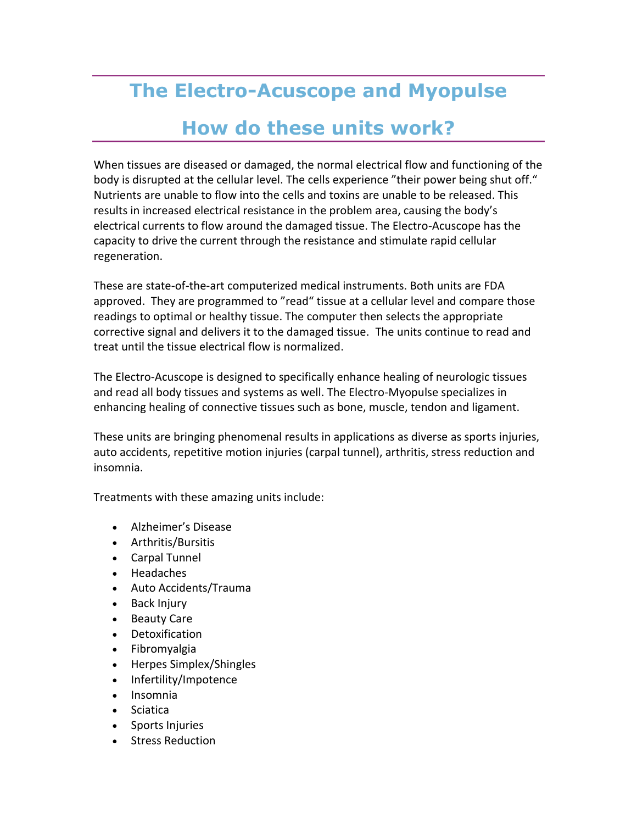## **The Electro-Acuscope and Myopulse How do these units work?**

When tissues are diseased or damaged, the normal electrical flow and functioning of the body is disrupted at the cellular level. The cells experience "their power being shut off." Nutrients are unable to flow into the cells and toxins are unable to be released. This results in increased electrical resistance in the problem area, causing the body's electrical currents to flow around the damaged tissue. The Electro-Acuscope has the capacity to drive the current through the resistance and stimulate rapid cellular regeneration.

These are state-of-the-art computerized medical instruments. Both units are FDA approved. They are programmed to "read" tissue at a cellular level and compare those readings to optimal or healthy tissue. The computer then selects the appropriate corrective signal and delivers it to the damaged tissue. The units continue to read and treat until the tissue electrical flow is normalized.

The Electro-Acuscope is designed to specifically enhance healing of neurologic tissues and read all body tissues and systems as well. The Electro-Myopulse specializes in enhancing healing of connective tissues such as bone, muscle, tendon and ligament.

These units are bringing phenomenal results in applications as diverse as sports injuries, auto accidents, repetitive motion injuries (carpal tunnel), arthritis, stress reduction and insomnia.

Treatments with these amazing units include:

- Alzheimer's Disease
- Arthritis/Bursitis
- Carpal Tunnel
- Headaches
- Auto Accidents/Trauma
- Back Injury
- Beauty Care
- Detoxification
- Fibromyalgia
- Herpes Simplex/Shingles
- Infertility/Impotence
- Insomnia
- Sciatica
- Sports Injuries
- Stress Reduction